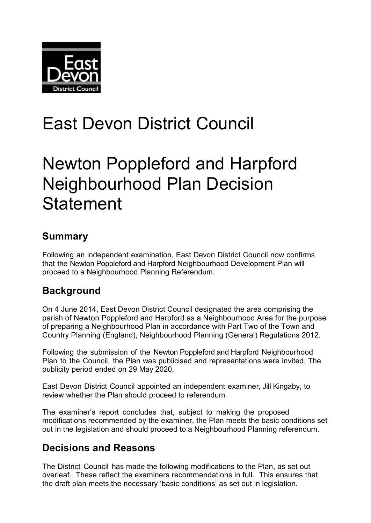

# East Devon District Council

## Newton Poppleford and Harpford Neighbourhood Plan Decision **Statement**

### **Summary**

Following an independent examination, East Devon District Council now confirms that the Newton Poppleford and Harpford Neighbourhood Development Plan will proceed to a Neighbourhood Planning Referendum.

## **Background**

On 4 June 2014, East Devon District Council designated the area comprising the parish of Newton Poppleford and Harpford as a Neighbourhood Area for the purpose of preparing a Neighbourhood Plan in accordance with Part Two of the Town and Country Planning (England), Neighbourhood Planning (General) Regulations 2012.

Following the submission of the Newton Poppleford and Harpford Neighbourhood Plan to the Council, the Plan was publicised and representations were invited. The publicity period ended on 29 May 2020.

East Devon District Council appointed an independent examiner, Jill Kingaby, to review whether the Plan should proceed to referendum.

The examiner's report concludes that, subject to making the proposed modifications recommended by the examiner, the Plan meets the basic conditions set out in the legislation and should proceed to a Neighbourhood Planning referendum.

#### **Decisions and Reasons**

The District Council has made the following modifications to the Plan, as set out overleaf. These reflect the examiners recommendations in full. This ensures that the draft plan meets the necessary 'basic conditions' as set out in legislation.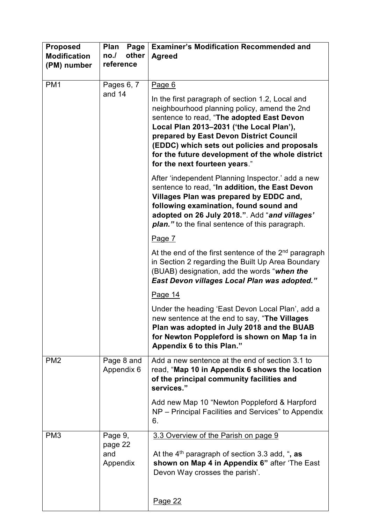| <b>Proposed</b><br><b>Modification</b><br>(PM) number | Plan<br>Page<br>other<br>no.<br>reference                                                                                                                                                                                                                                                                                                                                           | <b>Examiner's Modification Recommended and</b><br><b>Agreed</b>                                                                                                                                                                                                                                      |
|-------------------------------------------------------|-------------------------------------------------------------------------------------------------------------------------------------------------------------------------------------------------------------------------------------------------------------------------------------------------------------------------------------------------------------------------------------|------------------------------------------------------------------------------------------------------------------------------------------------------------------------------------------------------------------------------------------------------------------------------------------------------|
| PM <sub>1</sub><br>Pages 6, 7<br>and 14               | Page 6<br>In the first paragraph of section 1.2, Local and<br>neighbourhood planning policy, amend the 2nd<br>sentence to read, "The adopted East Devon<br>Local Plan 2013-2031 ('the Local Plan'),<br>prepared by East Devon District Council<br>(EDDC) which sets out policies and proposals<br>for the future development of the whole district<br>for the next fourteen years." |                                                                                                                                                                                                                                                                                                      |
|                                                       |                                                                                                                                                                                                                                                                                                                                                                                     | After 'independent Planning Inspector.' add a new<br>sentence to read, "In addition, the East Devon<br>Villages Plan was prepared by EDDC and,<br>following examination, found sound and<br>adopted on 26 July 2018.". Add "and villages'<br><b>plan.</b> " to the final sentence of this paragraph. |
|                                                       |                                                                                                                                                                                                                                                                                                                                                                                     | Page 7                                                                                                                                                                                                                                                                                               |
|                                                       |                                                                                                                                                                                                                                                                                                                                                                                     | At the end of the first sentence of the $2nd$ paragraph<br>in Section 2 regarding the Built Up Area Boundary<br>(BUAB) designation, add the words "when the<br><b>East Devon villages Local Plan was adopted."</b>                                                                                   |
|                                                       |                                                                                                                                                                                                                                                                                                                                                                                     | Page 14                                                                                                                                                                                                                                                                                              |
|                                                       |                                                                                                                                                                                                                                                                                                                                                                                     | Under the heading 'East Devon Local Plan', add a<br>new sentence at the end to say, "The Villages<br>Plan was adopted in July 2018 and the BUAB<br>for Newton Poppleford is shown on Map 1a in<br>Appendix 6 to this Plan."                                                                          |
| PM <sub>2</sub>                                       | Page 8 and<br>Appendix 6                                                                                                                                                                                                                                                                                                                                                            | Add a new sentence at the end of section 3.1 to<br>read, "Map 10 in Appendix 6 shows the location<br>of the principal community facilities and<br>services."                                                                                                                                         |
|                                                       |                                                                                                                                                                                                                                                                                                                                                                                     | Add new Map 10 "Newton Poppleford & Harpford<br>NP - Principal Facilities and Services" to Appendix<br>6.                                                                                                                                                                                            |
| PM <sub>3</sub>                                       | Page 9,<br>page 22<br>and<br>Appendix                                                                                                                                                                                                                                                                                                                                               | 3.3 Overview of the Parish on page 9<br>At the $4th$ paragraph of section 3.3 add, ", as<br>shown on Map 4 in Appendix 6" after 'The East<br>Devon Way crosses the parish'.<br><u>Page 22</u>                                                                                                        |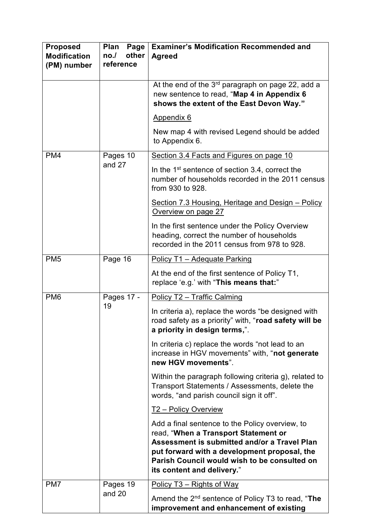| <b>Proposed</b><br><b>Modification</b><br>(PM) number | Plan<br>Page<br>other<br>no.<br>reference | <b>Examiner's Modification Recommended and</b><br><b>Agreed</b>                                                                                                                                                                                                       |
|-------------------------------------------------------|-------------------------------------------|-----------------------------------------------------------------------------------------------------------------------------------------------------------------------------------------------------------------------------------------------------------------------|
|                                                       |                                           | At the end of the $3rd$ paragraph on page 22, add a<br>new sentence to read, "Map 4 in Appendix 6<br>shows the extent of the East Devon Way."                                                                                                                         |
|                                                       |                                           | Appendix 6                                                                                                                                                                                                                                                            |
|                                                       |                                           | New map 4 with revised Legend should be added<br>to Appendix 6.                                                                                                                                                                                                       |
| PM4                                                   | Pages 10                                  | Section 3.4 Facts and Figures on page 10                                                                                                                                                                                                                              |
|                                                       | and 27                                    | In the 1 <sup>st</sup> sentence of section 3.4, correct the<br>number of households recorded in the 2011 census<br>from 930 to 928.                                                                                                                                   |
|                                                       |                                           | <b>Section 7.3 Housing, Heritage and Design - Policy</b><br>Overview on page 27                                                                                                                                                                                       |
|                                                       |                                           | In the first sentence under the Policy Overview<br>heading, correct the number of households<br>recorded in the 2011 census from 978 to 928.                                                                                                                          |
| PM <sub>5</sub>                                       | Page 16                                   | Policy T1 - Adequate Parking                                                                                                                                                                                                                                          |
|                                                       |                                           | At the end of the first sentence of Policy T1,<br>replace 'e.g.' with "This means that:"                                                                                                                                                                              |
| PM <sub>6</sub>                                       | Pages 17 -                                | Policy T2 - Traffic Calming                                                                                                                                                                                                                                           |
|                                                       | 19                                        | In criteria a), replace the words "be designed with<br>road safety as a priority" with, "road safety will be<br>a priority in design terms,".                                                                                                                         |
|                                                       |                                           | In criteria c) replace the words "not lead to an<br>increase in HGV movements" with, "not generate<br>new HGV movements".                                                                                                                                             |
|                                                       |                                           | Within the paragraph following criteria g), related to<br>Transport Statements / Assessments, delete the<br>words, "and parish council sign it off".                                                                                                                  |
|                                                       |                                           | <u>T2 – Policy Overview</u>                                                                                                                                                                                                                                           |
|                                                       |                                           | Add a final sentence to the Policy overview, to<br>read, "When a Transport Statement or<br>Assessment is submitted and/or a Travel Plan<br>put forward with a development proposal, the<br>Parish Council would wish to be consulted on<br>its content and delivery." |
| PM7                                                   | Pages 19                                  | Policy T3 – Rights of Way                                                                                                                                                                                                                                             |
|                                                       | and 20                                    | Amend the $2^{nd}$ sentence of Policy T3 to read, "The<br>improvement and enhancement of existing                                                                                                                                                                     |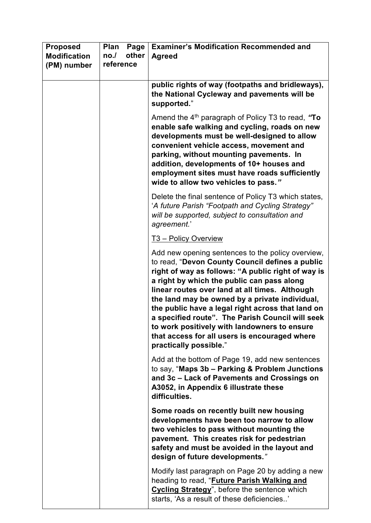| <b>Proposed</b><br><b>Modification</b><br>(PM) number | Plan<br>Page<br>other<br>no.<br>reference | <b>Examiner's Modification Recommended and</b><br><b>Agreed</b>                                                                                                                                                                                                                                                                                                                                                                                                                                                                                  |
|-------------------------------------------------------|-------------------------------------------|--------------------------------------------------------------------------------------------------------------------------------------------------------------------------------------------------------------------------------------------------------------------------------------------------------------------------------------------------------------------------------------------------------------------------------------------------------------------------------------------------------------------------------------------------|
|                                                       |                                           | public rights of way (footpaths and bridleways),<br>the National Cycleway and pavements will be<br>supported."                                                                                                                                                                                                                                                                                                                                                                                                                                   |
|                                                       |                                           | Amend the $4th$ paragraph of Policy T3 to read, "To<br>enable safe walking and cycling, roads on new<br>developments must be well-designed to allow<br>convenient vehicle access, movement and<br>parking, without mounting pavements. In<br>addition, developments of 10+ houses and<br>employment sites must have roads sufficiently<br>wide to allow two vehicles to pass."                                                                                                                                                                   |
|                                                       |                                           | Delete the final sentence of Policy T3 which states,<br>'A future Parish "Footpath and Cycling Strategy"<br>will be supported, subject to consultation and<br>agreement.'                                                                                                                                                                                                                                                                                                                                                                        |
|                                                       |                                           | T <sub>3</sub> – Policy Overview                                                                                                                                                                                                                                                                                                                                                                                                                                                                                                                 |
|                                                       |                                           | Add new opening sentences to the policy overview,<br>to read, "Devon County Council defines a public<br>right of way as follows: "A public right of way is<br>a right by which the public can pass along<br>linear routes over land at all times. Although<br>the land may be owned by a private individual,<br>the public have a legal right across that land on<br>a specified route". The Parish Council will seek<br>to work positively with landowners to ensure<br>that access for all users is encouraged where<br>practically possible." |
|                                                       |                                           | Add at the bottom of Page 19, add new sentences<br>to say, "Maps 3b - Parking & Problem Junctions<br>and 3c - Lack of Pavements and Crossings on<br>A3052, in Appendix 6 illustrate these<br>difficulties.                                                                                                                                                                                                                                                                                                                                       |
|                                                       |                                           | Some roads on recently built new housing<br>developments have been too narrow to allow<br>two vehicles to pass without mounting the<br>pavement. This creates risk for pedestrian<br>safety and must be avoided in the layout and<br>design of future developments."                                                                                                                                                                                                                                                                             |
|                                                       |                                           | Modify last paragraph on Page 20 by adding a new<br>heading to read, " <b>Future Parish Walking and</b><br><b>Cycling Strategy</b> ", before the sentence which<br>starts, 'As a result of these deficiencies'                                                                                                                                                                                                                                                                                                                                   |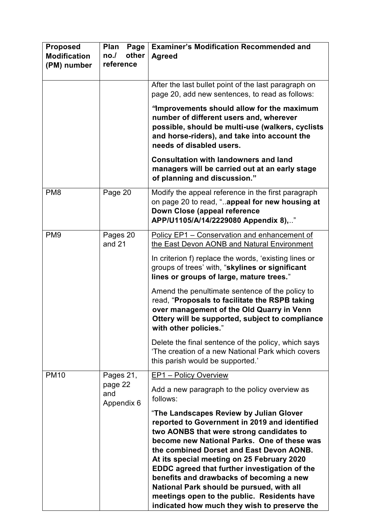| <b>Proposed</b><br><b>Modification</b><br>(PM) number | Plan<br>Page<br>other<br>no.<br>reference | <b>Examiner's Modification Recommended and</b><br><b>Agreed</b>                                                                                                                                                                                                                                                                                                                                                                                                                                                        |
|-------------------------------------------------------|-------------------------------------------|------------------------------------------------------------------------------------------------------------------------------------------------------------------------------------------------------------------------------------------------------------------------------------------------------------------------------------------------------------------------------------------------------------------------------------------------------------------------------------------------------------------------|
|                                                       |                                           | After the last bullet point of the last paragraph on<br>page 20, add new sentences, to read as follows:                                                                                                                                                                                                                                                                                                                                                                                                                |
|                                                       |                                           | "Improvements should allow for the maximum<br>number of different users and, wherever<br>possible, should be multi-use (walkers, cyclists<br>and horse-riders), and take into account the<br>needs of disabled users.                                                                                                                                                                                                                                                                                                  |
|                                                       |                                           | <b>Consultation with landowners and land</b><br>managers will be carried out at an early stage<br>of planning and discussion."                                                                                                                                                                                                                                                                                                                                                                                         |
| PM <sub>8</sub>                                       | Page 20                                   | Modify the appeal reference in the first paragraph<br>on page 20 to read, "appeal for new housing at<br>Down Close (appeal reference<br>APP/U1105/A/14/2229080 Appendix 8),"                                                                                                                                                                                                                                                                                                                                           |
| PM <sub>9</sub>                                       | Pages 20<br>and 21                        | Policy EP1 - Conservation and enhancement of<br>the East Devon AONB and Natural Environment                                                                                                                                                                                                                                                                                                                                                                                                                            |
|                                                       |                                           | In criterion f) replace the words, 'existing lines or<br>groups of trees' with, "skylines or significant<br>lines or groups of large, mature trees."                                                                                                                                                                                                                                                                                                                                                                   |
|                                                       |                                           | Amend the penultimate sentence of the policy to<br>read, "Proposals to facilitate the RSPB taking<br>over management of the Old Quarry in Venn<br>Ottery will be supported, subject to compliance<br>with other policies."                                                                                                                                                                                                                                                                                             |
|                                                       |                                           | Delete the final sentence of the policy, which says<br>'The creation of a new National Park which covers<br>this parish would be supported.'                                                                                                                                                                                                                                                                                                                                                                           |
| <b>PM10</b>                                           | Pages 21,<br>page 22<br>and<br>Appendix 6 | <b>EP1</b> – Policy Overview                                                                                                                                                                                                                                                                                                                                                                                                                                                                                           |
|                                                       |                                           | Add a new paragraph to the policy overview as<br>follows:                                                                                                                                                                                                                                                                                                                                                                                                                                                              |
|                                                       |                                           | "The Landscapes Review by Julian Glover<br>reported to Government in 2019 and identified<br>two AONBS that were strong candidates to<br>become new National Parks. One of these was<br>the combined Dorset and East Devon AONB.<br>At its special meeting on 25 February 2020<br>EDDC agreed that further investigation of the<br>benefits and drawbacks of becoming a new<br>National Park should be pursued, with all<br>meetings open to the public. Residents have<br>indicated how much they wish to preserve the |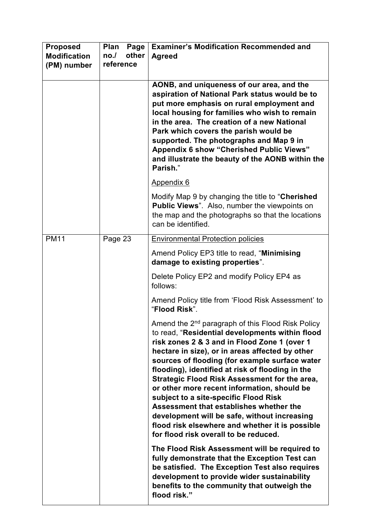| <b>Proposed</b><br><b>Modification</b><br>(PM) number | Plan<br>Page<br>other<br>no.<br>reference | <b>Examiner's Modification Recommended and</b><br><b>Agreed</b>                                                                                                                                                                                                                                                                                                                                                                                                                                                                                                                                                                                           |
|-------------------------------------------------------|-------------------------------------------|-----------------------------------------------------------------------------------------------------------------------------------------------------------------------------------------------------------------------------------------------------------------------------------------------------------------------------------------------------------------------------------------------------------------------------------------------------------------------------------------------------------------------------------------------------------------------------------------------------------------------------------------------------------|
|                                                       |                                           | AONB, and uniqueness of our area, and the<br>aspiration of National Park status would be to<br>put more emphasis on rural employment and<br>local housing for families who wish to remain<br>in the area. The creation of a new National<br>Park which covers the parish would be<br>supported. The photographs and Map 9 in<br><b>Appendix 6 show "Cherished Public Views"</b><br>and illustrate the beauty of the AONB within the<br>Parish."                                                                                                                                                                                                           |
|                                                       |                                           | Appendix 6                                                                                                                                                                                                                                                                                                                                                                                                                                                                                                                                                                                                                                                |
|                                                       |                                           | Modify Map 9 by changing the title to "Cherished<br><b>Public Views".</b> Also, number the viewpoints on<br>the map and the photographs so that the locations<br>can be identified.                                                                                                                                                                                                                                                                                                                                                                                                                                                                       |
| <b>PM11</b>                                           | Page 23                                   | <b>Environmental Protection policies</b>                                                                                                                                                                                                                                                                                                                                                                                                                                                                                                                                                                                                                  |
|                                                       |                                           | Amend Policy EP3 title to read, "Minimising<br>damage to existing properties".                                                                                                                                                                                                                                                                                                                                                                                                                                                                                                                                                                            |
|                                                       |                                           | Delete Policy EP2 and modify Policy EP4 as<br>follows:                                                                                                                                                                                                                                                                                                                                                                                                                                                                                                                                                                                                    |
|                                                       |                                           | Amend Policy title from 'Flood Risk Assessment' to<br>"Flood Risk".                                                                                                                                                                                                                                                                                                                                                                                                                                                                                                                                                                                       |
|                                                       |                                           | Amend the 2 <sup>nd</sup> paragraph of this Flood Risk Policy<br>to read, "Residential developments within flood<br>risk zones 2 & 3 and in Flood Zone 1 (over 1<br>hectare in size), or in areas affected by other<br>sources of flooding (for example surface water<br>flooding), identified at risk of flooding in the<br>Strategic Flood Risk Assessment for the area,<br>or other more recent information, should be<br>subject to a site-specific Flood Risk<br>Assessment that establishes whether the<br>development will be safe, without increasing<br>flood risk elsewhere and whether it is possible<br>for flood risk overall to be reduced. |
|                                                       |                                           | The Flood Risk Assessment will be required to<br>fully demonstrate that the Exception Test can<br>be satisfied. The Exception Test also requires<br>development to provide wider sustainability<br>benefits to the community that outweigh the<br>flood risk."                                                                                                                                                                                                                                                                                                                                                                                            |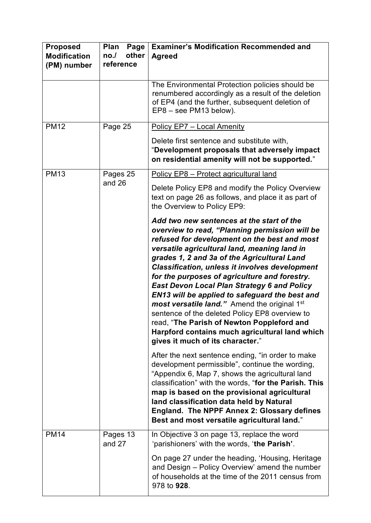| <b>Proposed</b><br><b>Modification</b><br>(PM) number | <b>Plan</b><br>Page<br>other<br>no.<br>reference | <b>Examiner's Modification Recommended and</b><br><b>Agreed</b>                                                                                                                                                                                                                                                                                                                                                                                                                                                                                                                                                                                                                                                                                         |
|-------------------------------------------------------|--------------------------------------------------|---------------------------------------------------------------------------------------------------------------------------------------------------------------------------------------------------------------------------------------------------------------------------------------------------------------------------------------------------------------------------------------------------------------------------------------------------------------------------------------------------------------------------------------------------------------------------------------------------------------------------------------------------------------------------------------------------------------------------------------------------------|
|                                                       |                                                  | The Environmental Protection policies should be<br>renumbered accordingly as a result of the deletion<br>of EP4 (and the further, subsequent deletion of<br>EP8 - see PM13 below).                                                                                                                                                                                                                                                                                                                                                                                                                                                                                                                                                                      |
| <b>PM12</b>                                           | Page 25                                          | <b>Policy EP7 - Local Amenity</b>                                                                                                                                                                                                                                                                                                                                                                                                                                                                                                                                                                                                                                                                                                                       |
|                                                       |                                                  | Delete first sentence and substitute with,<br>"Development proposals that adversely impact<br>on residential amenity will not be supported."                                                                                                                                                                                                                                                                                                                                                                                                                                                                                                                                                                                                            |
| <b>PM13</b>                                           | Pages 25                                         | Policy EP8 - Protect agricultural land                                                                                                                                                                                                                                                                                                                                                                                                                                                                                                                                                                                                                                                                                                                  |
|                                                       | and 26                                           | Delete Policy EP8 and modify the Policy Overview<br>text on page 26 as follows, and place it as part of<br>the Overview to Policy EP9:                                                                                                                                                                                                                                                                                                                                                                                                                                                                                                                                                                                                                  |
|                                                       |                                                  | Add two new sentences at the start of the<br>overview to read, "Planning permission will be<br>refused for development on the best and most<br>versatile agricultural land, meaning land in<br>grades 1, 2 and 3a of the Agricultural Land<br><b>Classification, unless it involves development</b><br>for the purposes of agriculture and forestry.<br><b>East Devon Local Plan Strategy 6 and Policy</b><br>EN13 will be applied to safeguard the best and<br>most versatile land." Amend the original 1st<br>sentence of the deleted Policy EP8 overview to<br>read, "The Parish of Newton Poppleford and<br>Harpford contains much agricultural land which<br>gives it much of its character."<br>After the next sentence ending, "in order to make |
|                                                       |                                                  | development permissible", continue the wording,<br>"Appendix 6, Map 7, shows the agricultural land<br>classification" with the words, "for the Parish. This<br>map is based on the provisional agricultural<br>land classification data held by Natural<br>England. The NPPF Annex 2: Glossary defines<br>Best and most versatile agricultural land."                                                                                                                                                                                                                                                                                                                                                                                                   |
| <b>PM14</b>                                           | Pages 13<br>and 27                               | In Objective 3 on page 13, replace the word<br>'parishioners' with the words, 'the Parish'.                                                                                                                                                                                                                                                                                                                                                                                                                                                                                                                                                                                                                                                             |
|                                                       |                                                  | On page 27 under the heading, 'Housing, Heritage<br>and Design - Policy Overview' amend the number<br>of households at the time of the 2011 census from<br>978 to 928.                                                                                                                                                                                                                                                                                                                                                                                                                                                                                                                                                                                  |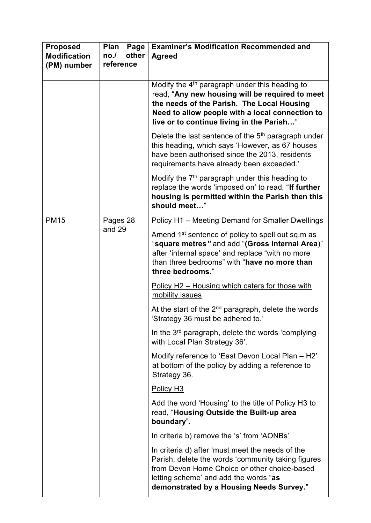| <b>Proposed</b><br><b>Modification</b><br>(PM) number | Plan<br>Page<br>other<br>no.<br>reference                                                                                                                                                                                                | <b>Examiner's Modification Recommended and</b><br><b>Agreed</b>                                                                                                                                                                                             |
|-------------------------------------------------------|------------------------------------------------------------------------------------------------------------------------------------------------------------------------------------------------------------------------------------------|-------------------------------------------------------------------------------------------------------------------------------------------------------------------------------------------------------------------------------------------------------------|
|                                                       |                                                                                                                                                                                                                                          | Modify the 4 <sup>th</sup> paragraph under this heading to<br>read, "Any new housing will be required to meet<br>the needs of the Parish. The Local Housing<br>Need to allow people with a local connection to<br>live or to continue living in the Parish" |
|                                                       |                                                                                                                                                                                                                                          | Delete the last sentence of the $5th$ paragraph under<br>this heading, which says 'However, as 67 houses<br>have been authorised since the 2013, residents<br>requirements have already been exceeded.'                                                     |
|                                                       |                                                                                                                                                                                                                                          | Modify the $7th$ paragraph under this heading to<br>replace the words 'imposed on' to read, "If further<br>housing is permitted within the Parish then this<br>should meet"                                                                                 |
| <b>PM15</b>                                           | Pages 28                                                                                                                                                                                                                                 | Policy H1 - Meeting Demand for Smaller Dwellings                                                                                                                                                                                                            |
| and 29                                                | Amend 1 <sup>st</sup> sentence of policy to spell out sq.m as<br>"square metres" and add "(Gross Internal Area)"<br>after 'internal space' and replace "with no more<br>than three bedrooms" with "have no more than<br>three bedrooms." |                                                                                                                                                                                                                                                             |
|                                                       |                                                                                                                                                                                                                                          | Policy H2 - Housing which caters for those with<br>mobility issues                                                                                                                                                                                          |
|                                                       |                                                                                                                                                                                                                                          | At the start of the $2^{nd}$ paragraph, delete the words<br>'Strategy 36 must be adhered to.'                                                                                                                                                               |
|                                                       |                                                                                                                                                                                                                                          | In the 3 <sup>rd</sup> paragraph, delete the words 'complying<br>with Local Plan Strategy 36'.                                                                                                                                                              |
|                                                       |                                                                                                                                                                                                                                          | Modify reference to 'East Devon Local Plan - H2'<br>at bottom of the policy by adding a reference to<br>Strategy 36.                                                                                                                                        |
|                                                       |                                                                                                                                                                                                                                          | Policy H <sub>3</sub>                                                                                                                                                                                                                                       |
|                                                       |                                                                                                                                                                                                                                          | Add the word 'Housing' to the title of Policy H3 to<br>read, "Housing Outside the Built-up area<br>boundary".                                                                                                                                               |
|                                                       |                                                                                                                                                                                                                                          | In criteria b) remove the 's' from 'AONBs'                                                                                                                                                                                                                  |
|                                                       |                                                                                                                                                                                                                                          | In criteria d) after 'must meet the needs of the<br>Parish, delete the words 'community taking figures<br>from Devon Home Choice or other choice-based<br>letting scheme' and add the words "as<br>demonstrated by a Housing Needs Survey."                 |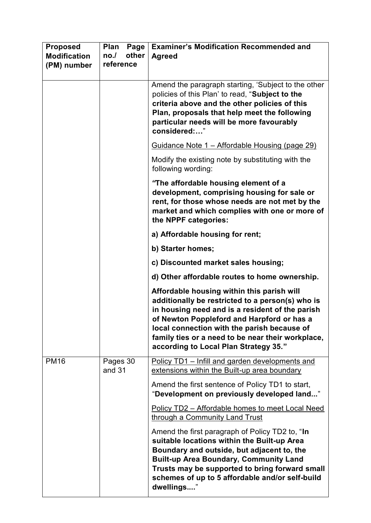| <b>Proposed</b><br><b>Modification</b><br>(PM) number | Plan<br>Page<br>other<br>no.1<br>reference | <b>Examiner's Modification Recommended and</b><br><b>Agreed</b>                                                                                                                                                                                                                                                                              |
|-------------------------------------------------------|--------------------------------------------|----------------------------------------------------------------------------------------------------------------------------------------------------------------------------------------------------------------------------------------------------------------------------------------------------------------------------------------------|
|                                                       |                                            | Amend the paragraph starting, 'Subject to the other<br>policies of this Plan' to read, "Subject to the<br>criteria above and the other policies of this<br>Plan, proposals that help meet the following<br>particular needs will be more favourably<br>considered:"                                                                          |
|                                                       |                                            | Guidance Note 1 – Affordable Housing (page 29)                                                                                                                                                                                                                                                                                               |
|                                                       |                                            | Modify the existing note by substituting with the<br>following wording:                                                                                                                                                                                                                                                                      |
|                                                       |                                            | "The affordable housing element of a<br>development, comprising housing for sale or<br>rent, for those whose needs are not met by the<br>market and which complies with one or more of<br>the NPPF categories:                                                                                                                               |
|                                                       |                                            | a) Affordable housing for rent;                                                                                                                                                                                                                                                                                                              |
|                                                       |                                            | b) Starter homes;                                                                                                                                                                                                                                                                                                                            |
|                                                       |                                            | c) Discounted market sales housing;                                                                                                                                                                                                                                                                                                          |
|                                                       |                                            | d) Other affordable routes to home ownership.                                                                                                                                                                                                                                                                                                |
|                                                       |                                            | Affordable housing within this parish will<br>additionally be restricted to a person(s) who is<br>in housing need and is a resident of the parish<br>of Newton Poppleford and Harpford or has a<br>local connection with the parish because of<br>family ties or a need to be near their workplace,<br>according to Local Plan Strategy 35." |
| <b>PM16</b>                                           | Pages 30<br>and 31                         | Policy TD1 – Infill and garden developments and<br>extensions within the Built-up area boundary                                                                                                                                                                                                                                              |
|                                                       |                                            | Amend the first sentence of Policy TD1 to start,<br>"Development on previously developed land"                                                                                                                                                                                                                                               |
|                                                       |                                            | Policy TD2 - Affordable homes to meet Local Need<br>through a Community Land Trust                                                                                                                                                                                                                                                           |
|                                                       |                                            | Amend the first paragraph of Policy TD2 to, "In<br>suitable locations within the Built-up Area<br>Boundary and outside, but adjacent to, the<br><b>Built-up Area Boundary, Community Land</b><br>Trusts may be supported to bring forward small<br>schemes of up to 5 affordable and/or self-build<br>dwellings"                             |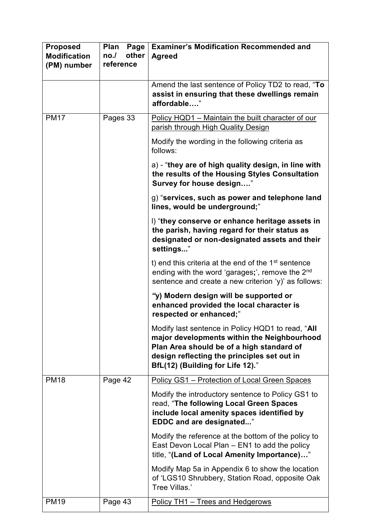| <b>Proposed</b><br><b>Modification</b><br>(PM) number | Plan<br>Page<br>other<br>no.<br>reference | <b>Examiner's Modification Recommended and</b><br><b>Agreed</b>                                                                                                                                                                  |
|-------------------------------------------------------|-------------------------------------------|----------------------------------------------------------------------------------------------------------------------------------------------------------------------------------------------------------------------------------|
|                                                       |                                           | Amend the last sentence of Policy TD2 to read, "To<br>assist in ensuring that these dwellings remain<br>affordable"                                                                                                              |
| <b>PM17</b>                                           | Pages 33                                  | Policy HQD1 - Maintain the built character of our<br>parish through High Quality Design                                                                                                                                          |
|                                                       |                                           | Modify the wording in the following criteria as<br>follows:                                                                                                                                                                      |
|                                                       |                                           | a) - "they are of high quality design, in line with<br>the results of the Housing Styles Consultation<br>Survey for house design"                                                                                                |
|                                                       |                                           | g) "services, such as power and telephone land<br>lines, would be underground;"                                                                                                                                                  |
|                                                       |                                           | I) "they conserve or enhance heritage assets in<br>the parish, having regard for their status as<br>designated or non-designated assets and their<br>settings"                                                                   |
|                                                       |                                           | t) end this criteria at the end of the $1st$ sentence<br>ending with the word 'garages;', remove the 2 <sup>nd</sup><br>sentence and create a new criterion 'y)' as follows:                                                     |
|                                                       |                                           | "y) Modern design will be supported or<br>enhanced provided the local character is<br>respected or enhanced;"                                                                                                                    |
|                                                       |                                           | Modify last sentence in Policy HQD1 to read, "All<br>major developments within the Neighbourhood<br>Plan Area should be of a high standard of<br>design reflecting the principles set out in<br>BfL(12) (Building for Life 12)." |
| <b>PM18</b>                                           | Page 42                                   | Policy GS1 - Protection of Local Green Spaces                                                                                                                                                                                    |
|                                                       |                                           | Modify the introductory sentence to Policy GS1 to<br>read, "The following Local Green Spaces<br>include local amenity spaces identified by<br><b>EDDC and are designated</b> "                                                   |
|                                                       |                                           | Modify the reference at the bottom of the policy to<br>East Devon Local Plan - EN1 to add the policy<br>title, "(Land of Local Amenity Importance)"                                                                              |
|                                                       |                                           | Modify Map 5a in Appendix 6 to show the location<br>of 'LGS10 Shrubbery, Station Road, opposite Oak<br>Tree Villas.'                                                                                                             |
| <b>PM19</b>                                           | Page 43                                   | Policy TH1 - Trees and Hedgerows                                                                                                                                                                                                 |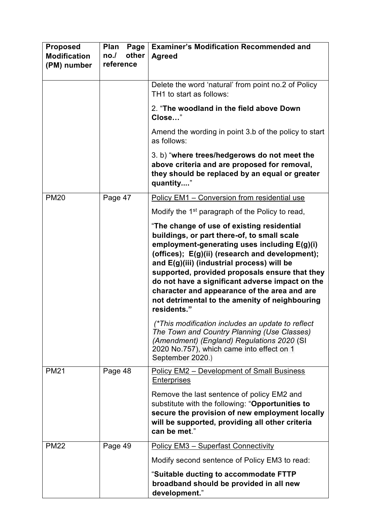| <b>Proposed</b><br><b>Modification</b><br>(PM) number | Plan<br>Page<br>other<br>no.1<br>reference | <b>Examiner's Modification Recommended and</b><br><b>Agreed</b>                                                                                                                                                                                                                                                                                                                                                                                                                                                                                                                                                    |
|-------------------------------------------------------|--------------------------------------------|--------------------------------------------------------------------------------------------------------------------------------------------------------------------------------------------------------------------------------------------------------------------------------------------------------------------------------------------------------------------------------------------------------------------------------------------------------------------------------------------------------------------------------------------------------------------------------------------------------------------|
|                                                       |                                            | Delete the word 'natural' from point no.2 of Policy<br>TH1 to start as follows:                                                                                                                                                                                                                                                                                                                                                                                                                                                                                                                                    |
|                                                       |                                            | 2. "The woodland in the field above Down<br>Close"                                                                                                                                                                                                                                                                                                                                                                                                                                                                                                                                                                 |
|                                                       |                                            | Amend the wording in point 3.b of the policy to start<br>as follows:                                                                                                                                                                                                                                                                                                                                                                                                                                                                                                                                               |
|                                                       |                                            | 3. b) "where trees/hedgerows do not meet the<br>above criteria and are proposed for removal,<br>they should be replaced by an equal or greater<br>quantity"                                                                                                                                                                                                                                                                                                                                                                                                                                                        |
| <b>PM20</b>                                           | Page 47                                    | Policy EM1 - Conversion from residential use                                                                                                                                                                                                                                                                                                                                                                                                                                                                                                                                                                       |
|                                                       |                                            | Modify the 1 <sup>st</sup> paragraph of the Policy to read,                                                                                                                                                                                                                                                                                                                                                                                                                                                                                                                                                        |
|                                                       |                                            | "The change of use of existing residential<br>buildings, or part there-of, to small scale<br>employment-generating uses including E(g)(i)<br>(offices); E(g)(ii) (research and development);<br>and E(g)(iii) (industrial process) will be<br>supported, provided proposals ensure that they<br>do not have a significant adverse impact on the<br>character and appearance of the area and are<br>not detrimental to the amenity of neighbouring<br>residents."<br>(*This modification includes an update to reflect<br>The Town and Country Planning (Use Classes)<br>(Amendment) (England) Regulations 2020 (SI |
|                                                       |                                            | 2020 No.757), which came into effect on 1<br>September 2020.)                                                                                                                                                                                                                                                                                                                                                                                                                                                                                                                                                      |
| <b>PM21</b>                                           | Page 48                                    | <b>Policy EM2 - Development of Small Business</b><br><b>Enterprises</b>                                                                                                                                                                                                                                                                                                                                                                                                                                                                                                                                            |
|                                                       |                                            | Remove the last sentence of policy EM2 and<br>substitute with the following: "Opportunities to<br>secure the provision of new employment locally<br>will be supported, providing all other criteria<br>can be met."                                                                                                                                                                                                                                                                                                                                                                                                |
| <b>PM22</b>                                           | Page 49                                    | <b>Policy EM3 - Superfast Connectivity</b>                                                                                                                                                                                                                                                                                                                                                                                                                                                                                                                                                                         |
|                                                       |                                            | Modify second sentence of Policy EM3 to read:                                                                                                                                                                                                                                                                                                                                                                                                                                                                                                                                                                      |
|                                                       |                                            | "Suitable ducting to accommodate FTTP<br>broadband should be provided in all new<br>development."                                                                                                                                                                                                                                                                                                                                                                                                                                                                                                                  |